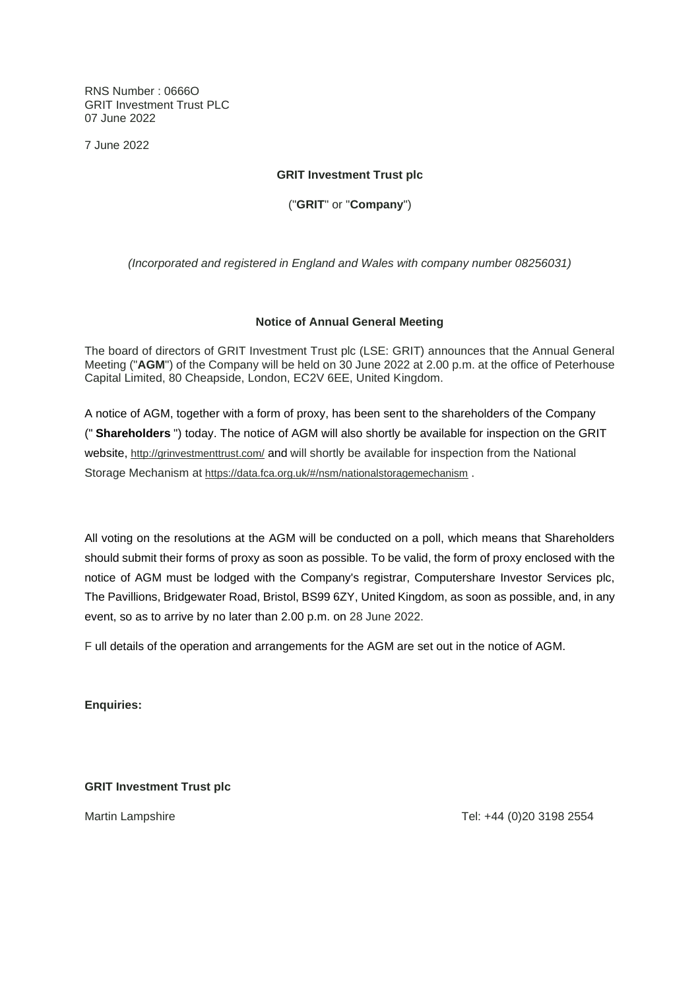RNS Number : 0666O GRIT Investment Trust PLC 07 June 2022

7 June 2022

## **GRIT Investment Trust plc**

("**GRIT**" or "**Company**")

*(Incorporated and registered in England and Wales with company number 08256031)*

## **Notice of Annual General Meeting**

The board of directors of GRIT Investment Trust plc (LSE: GRIT) announces that the Annual General Meeting ("**AGM**") of the Company will be held on 30 June 2022 at 2.00 p.m. at the office of Peterhouse Capital Limited, 80 Cheapside, London, EC2V 6EE, United Kingdom.

A notice of AGM, together with a form of proxy, has been sent to the shareholders of the Company (" **Shareholders** ") today. The notice of AGM will also shortly be available for inspection on the GRIT website, http://grinvestmenttrust.com/ and will shortly be available for inspection from the National Storage Mechanism at https://data.fca.org.uk/#/nsm/nationalstoragemechanism .

All voting on the resolutions at the AGM will be conducted on a poll, which means that Shareholders should submit their forms of proxy as soon as possible. To be valid, the form of proxy enclosed with the notice of AGM must be lodged with the Company's registrar, Computershare Investor Services plc, The Pavillions, Bridgewater Road, Bristol, BS99 6ZY, United Kingdom, as soon as possible, and, in any event, so as to arrive by no later than 2.00 p.m. on 28 June 2022.

F ull details of the operation and arrangements for the AGM are set out in the notice of AGM.

**Enquiries:**

**GRIT Investment Trust plc**

Martin Lampshire Tel: +44 (0)20 3198 2554